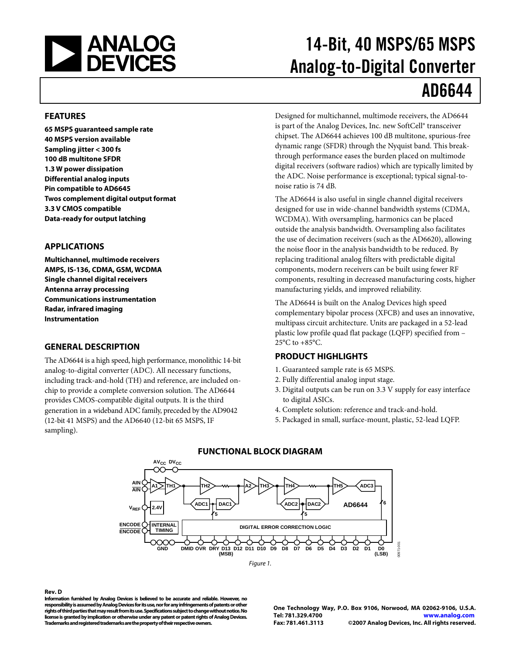<span id="page-0-1"></span><span id="page-0-0"></span>

# 14-Bit, 40 MSPS/65 MSPS Analog-to-Digital Converter AD6644

#### **FEATURES**

**65 MSPS guaranteed sample rate 40 MSPS version available Sampling jitter < 300 fs 100 dB multitone SFDR 1.3 W power dissipation Differential analog inputs Pin compatible to AD6645 Twos complement digital output format 3.3 V CMOS compatible Data-ready for output latching** 

#### **APPLICATIONS**

**Multichannel, multimode receivers AMPS, IS-136, CDMA, GSM, WCDMA Single channel digital receivers Antenna array processing Communications instrumentation Radar, infrared imaging Instrumentation** 

#### **GENERAL DESCRIPTION**

The AD6644 is a high speed, high performance, monolithic 14-bit analog-to-digital converter (ADC). All necessary functions, including track-and-hold (TH) and reference, are included onchip to provide a complete conversion solution. The AD6644 provides CMOS-compatible digital outputs. It is the third generation in a wideband ADC family, preceded by the AD9042 (12-bit 41 MSPS) and the AD6640 (12-bit 65 MSPS, IF sampling).

Designed for multichannel, multimode receivers, the AD6644 is part of the Analog Devices, Inc. new SoftCell® transceiver chipset. The AD6644 achieves 100 dB multitone, spurious-free dynamic range (SFDR) through the Nyquist band. This breakthrough performance eases the burden placed on multimode digital receivers (software radios) which are typically limited by the ADC. Noise performance is exceptional; typical signal-tonoise ratio is 74 dB.

The AD6644 is also useful in single channel digital receivers designed for use in wide-channel bandwidth systems (CDMA, WCDMA). With oversampling, harmonics can be placed outside the analysis bandwidth. Oversampling also facilitates the use of decimation receivers (such as the AD6620), allowing the noise floor in the analysis bandwidth to be reduced. By replacing traditional analog filters with predictable digital components, modern receivers can be built using fewer RF components, resulting in decreased manufacturing costs, higher manufacturing yields, and improved reliability.

The AD6644 is built on the Analog Devices high speed complementary bipolar process (XFCB) and uses an innovative, multipass circuit architecture. Units are packaged in a 52-lead plastic low profile quad flat package (LQFP) specified from –  $25^{\circ}$ C to  $+85^{\circ}$ C.

#### **PRODUCT HIGHLIGHTS**

- 1. Guaranteed sample rate is 65 MSPS.
- 2. Fully differential analog input stage.
- 3. Digital outputs can be run on 3.3 V supply for easy interface to digital ASICs.
- 4. Complete solution: reference and track-and-hold.
- 5. Packaged in small, surface-mount, plastic, 52-lead LQFP.







#### **Rev. D**

**Information furnished by Analog Devices is believed to be accurate and reliable. However, no responsibility is assumed by Analog Devices for its use, nor for any infringements of patents or other rights of third parties that may result from its use. Specifications subject to change without notice. No license is granted by implication or otherwise under any patent or patent rights of Analog Devices. Trademarks and registered trademarks are the property of their respective owners.** 

**One Technology Way, P.O. Box 9106, Norwood, MA 02062-9106, U.S.A. Tel: 781.329.4700 www.analog.com Fax: 781.461.3113 ©2007 Analog Devices, Inc. All rights reserved.**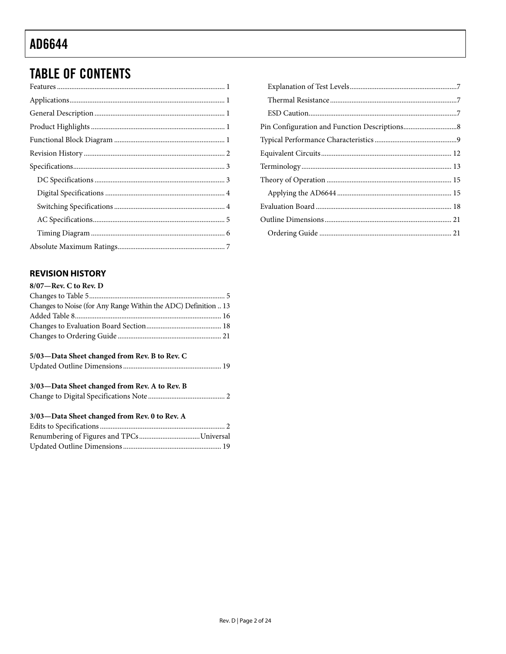## <span id="page-1-0"></span>**TABLE OF CONTENTS**

#### **REVISION HISTORY**

| $8/07$ —Rev. C to Rev. D                                       |  |
|----------------------------------------------------------------|--|
|                                                                |  |
| Changes to Noise (for Any Range Within the ADC) Definition  13 |  |
|                                                                |  |
|                                                                |  |
|                                                                |  |
| 5/03—Data Sheet changed from Rev. B to Rev. C                  |  |
|                                                                |  |
| 3/03-Data Sheet changed from Rev. A to Rev. B                  |  |
|                                                                |  |
| 3/03-Data Sheet changed from Rev. 0 to Rev. A                  |  |
|                                                                |  |
|                                                                |  |
|                                                                |  |
|                                                                |  |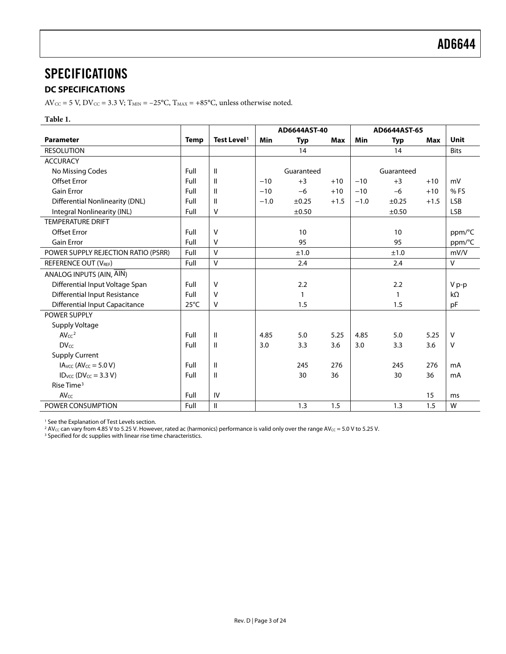### <span id="page-2-0"></span>**SPECIFICATIONS**

#### **DC SPECIFICATIONS**

 $\text{AV}_{\text{CC}}$  = 5 V, DV $_{\text{CC}}$  = 3.3 V; T $_{\text{MIN}}$  = –25°C, T $_{\text{MAX}}$  = +85°C, unless otherwise noted.

#### **Table 1.**

|                                        |                |                         |        | AD6644AST-40 |        |            | AD6644AST-65 |        |             |
|----------------------------------------|----------------|-------------------------|--------|--------------|--------|------------|--------------|--------|-------------|
| <b>Parameter</b>                       | <b>Temp</b>    | Test Level <sup>1</sup> | Min    | <b>Typ</b>   | Max    | <b>Min</b> | <b>Typ</b>   | Max    | <b>Unit</b> |
| <b>RESOLUTION</b>                      |                |                         |        | 14           |        |            | 14           |        | <b>Bits</b> |
| <b>ACCURACY</b>                        |                |                         |        |              |        |            |              |        |             |
| No Missing Codes                       | Full           | $\mathbf{I}$            |        | Guaranteed   |        |            | Guaranteed   |        |             |
| <b>Offset Error</b>                    | Full           | $\mathbf{I}$            | $-10$  | $+3$         | $+10$  | $-10$      | $+3$         | $+10$  | mV          |
| <b>Gain Error</b>                      | Full           | $\mathbf{I}$            | $-10$  | $-6$         | $+10$  | $-10$      | $-6$         | $+10$  | % FS        |
| <b>Differential Nonlinearity (DNL)</b> | Full           | $\mathbf{I}$            | $-1.0$ | $\pm 0.25$   | $+1.5$ | $-1.0$     | ±0.25        | $+1.5$ | <b>LSB</b>  |
| Integral Nonlinearity (INL)            | Full           | $\vee$                  |        | $\pm 0.50$   |        |            | $\pm 0.50$   |        | <b>LSB</b>  |
| <b>TEMPERATURE DRIFT</b>               |                |                         |        |              |        |            |              |        |             |
| <b>Offset Error</b>                    | Full           | $\vee$                  |        | 10           |        |            | 10           |        | ppm/°C      |
| <b>Gain Error</b>                      | Full           | $\vee$                  |        | 95           |        |            | 95           |        | ppm/°C      |
| POWER SUPPLY REJECTION RATIO (PSRR)    | Full           | $\mathsf{V}$            |        | ±1.0         |        |            | ±1.0         |        | mV/V        |
| <b>REFERENCE OUT (VREF)</b>            | Full           | ${\sf V}$               |        | 2.4          |        |            | 2.4          |        | V           |
| ANALOG INPUTS (AIN, AIN)               |                |                         |        |              |        |            |              |        |             |
| Differential Input Voltage Span        | Full           | $\vee$                  |        | 2.2          |        |            | 2.2          |        | V p-p       |
| <b>Differential Input Resistance</b>   | Full           | $\vee$                  |        | 1            |        |            | 1            |        | $k\Omega$   |
| <b>Differential Input Capacitance</b>  | $25^{\circ}$ C | $\vee$                  |        | 1.5          |        |            | 1.5          |        | pF          |
| <b>POWER SUPPLY</b>                    |                |                         |        |              |        |            |              |        |             |
| Supply Voltage                         |                |                         |        |              |        |            |              |        |             |
| AVcc <sup>2</sup>                      | Full           | $\mathsf{I}$            | 4.85   | 5.0          | 5.25   | 4.85       | 5.0          | 5.25   | $\sf V$     |
| <b>DVcc</b>                            | Full           | $\mathsf{I}$            | 3.0    | 3.3          | 3.6    | 3.0        | 3.3          | 3.6    | V           |
| <b>Supply Current</b>                  |                |                         |        |              |        |            |              |        |             |
| $IAVCC (AVCC = 5.0 V)$                 | Full           | $\mathbf{I}$            |        | 245          | 276    |            | 245          | 276    | mA          |
| $ID_{VCC} (DV_{CC} = 3.3 V)$           | Full           | $\mathsf{I}$            |        | 30           | 36     |            | 30           | 36     | mA          |
| Rise Time $3$                          |                |                         |        |              |        |            |              |        |             |
| $AV_{CC}$                              | Full           | IV                      |        |              |        |            |              | 15     | ms          |
| POWER CONSUMPTION                      | Full           | $\mathbf{II}$           |        | 1.3          | 1.5    |            | 1.3          | 1.5    | W           |

<sup>1</sup> See the [Explanation of Test Levels s](#page-6-1)ection.<br><sup>2</sup> AV<sub>CC</sub> can vary from 4.85 V to 5.25 V. However, rated ac (harmonics) performance is valid only over the range AV<sub>CC</sub> = 5.0 V to 5.25 V.<br><sup>3</sup> Specified for de supplies with

<sup>3</sup> Specified for dc supplies with linear rise time characteristics.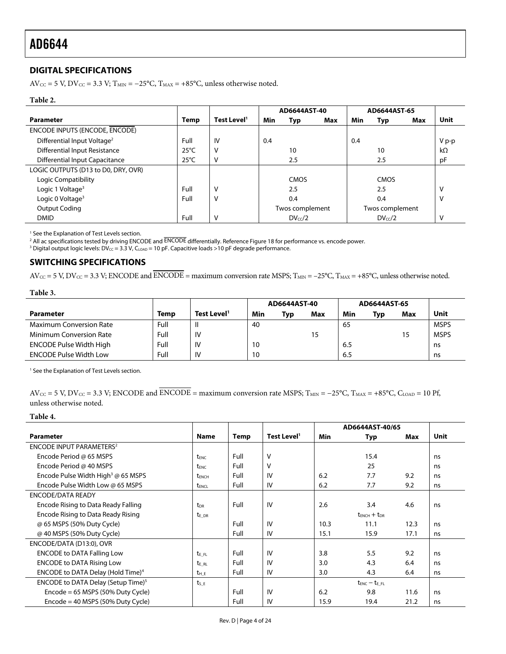#### <span id="page-3-0"></span>**DIGITAL SPECIFICATIONS**

AV<sub>CC</sub> = 5 V, DV<sub>CC</sub> = 3.3 V; T<sub>MIN</sub> = -25°C, T<sub>MAX</sub> = +85°C, unless otherwise noted.

#### **Table 2.**

|                                         |                |                         | AD6644AST-40 |                 |     | AD6644AST-65 |                 |     |           |
|-----------------------------------------|----------------|-------------------------|--------------|-----------------|-----|--------------|-----------------|-----|-----------|
| <b>Parameter</b>                        | Temp           | Test Level <sup>1</sup> | Min          | Typ             | Max | Min          | Typ             | Max | Unit      |
| ENCODE INPUTS (ENCODE, ENCODE)          |                |                         |              |                 |     |              |                 |     |           |
| Differential Input Voltage <sup>2</sup> | Full           | IV                      | 0.4          |                 |     | 0.4          |                 |     | $V p-p$   |
| Differential Input Resistance           | $25^{\circ}$ C | v                       |              | 10              |     |              | 10              |     | $k\Omega$ |
| <b>Differential Input Capacitance</b>   | $25^{\circ}$ C | ۷                       |              | 2.5             |     |              | 2.5             |     | рF        |
| LOGIC OUTPUTS (D13 to D0, DRY, OVR)     |                |                         |              |                 |     |              |                 |     |           |
| Logic Compatibility                     |                |                         |              | <b>CMOS</b>     |     |              | <b>CMOS</b>     |     |           |
| Logic 1 Voltage <sup>3</sup>            | Full           | ٧                       |              | 2.5             |     |              | 2.5             |     | v         |
| Logic 0 Voltage <sup>3</sup>            | Full           | v                       |              | 0.4             |     |              | 0.4             |     | ٧         |
| <b>Output Coding</b>                    |                |                         |              | Twos complement |     |              | Twos complement |     |           |
| <b>DMID</b>                             | Full           | v                       |              | $DV_{cc}/2$     |     |              | $DV_{cc}/2$     |     | v         |

1 See th[e Explanation of Test Levels s](#page-6-1)ection.

<sup>2</sup> All ac specifications tested by driving ENCODE and ENCODE differentially. Reference [Figure 18](#page-10-0) for performance vs. encode power.<br><sup>3</sup> Digital output logic levels: DV-c = 3.3.V. Come = 10.pE. Capacitive loads >10.pE degra

<sup>3</sup> Digital output logic levels: DV<sub>CC</sub> = 3.3 V, C<sub>LOAD</sub> = 10 pF. Capacitive loads >10 pF degrade performance.

#### **SWITCHING SPECIFICATIONS**

 $AV_{CC} = 5$  V,  $DV_{CC} = 3.3$  V; ENCODE and  $\overline{ENCODE} =$  maximum conversion rate MSPS;  $T_{MIN} = -25^{\circ}C$ ,  $T_{MAX} = +85^{\circ}C$ , unless otherwise noted.

**Table 3.** 

|                                |      |                         | AD6644AST-40 |     | AD6644AST-65 |     |     |     |             |
|--------------------------------|------|-------------------------|--------------|-----|--------------|-----|-----|-----|-------------|
| Parameter                      | Temp | Test Level <sup>1</sup> | Min          | Typ | Max          | Min | Typ | Max | Unit        |
| <b>Maximum Conversion Rate</b> | Full |                         | 40           |     |              | 65  |     |     | <b>MSPS</b> |
| Minimum Conversion Rate        | Full | IV                      |              |     |              |     |     |     | <b>MSPS</b> |
| <b>ENCODE Pulse Width High</b> | Full | IV                      | 10           |     |              | 6.5 |     |     | ns          |
| <b>ENCODE Pulse Width Low</b>  | Full | IV                      | 10           |     |              | 6.5 |     |     | ns          |

<sup>1</sup> See th[e Explanation of Test Levels s](#page-6-1)ection.

 $AV_{CC} = 5$  V,  $DV_{CC} = 3.3$  V; ENCODE and  $\overline{ENCODE} =$  maximum conversion rate MSPS; T<sub>MIN</sub> = −25°C, T<sub>MAX</sub> = +85°C, C<sub>LOAD</sub> = 10 Pf, unless otherwise noted.

**Table 4.** 

|                                                    |                          |      |                         |      | AD6644AST-40/65     |      |      |
|----------------------------------------------------|--------------------------|------|-------------------------|------|---------------------|------|------|
| <b>Parameter</b>                                   | Name                     | Temp | Test Level <sup>1</sup> | Min  | Typ                 | Max  | Unit |
| <b>ENCODE INPUT PARAMETERS<sup>2</sup></b>         |                          |      |                         |      |                     |      |      |
| Encode Period @ 65 MSPS                            | t <sub>ENC</sub>         | Full | $\vee$                  |      | 15.4                |      | ns   |
| Encode Period @ 40 MSPS                            | t <sub>ENC</sub>         | Full | V                       |      | 25                  |      | ns   |
| Encode Pulse Width High <sup>3</sup> @ 65 MSPS     | t <sub>ENCH</sub>        | Full | IV                      | 6.2  | 7.7                 | 9.2  | ns   |
| Encode Pulse Width Low @ 65 MSPS                   | <b>t</b> <sub>ENCL</sub> | Full | IV                      | 6.2  | 7.7                 | 9.2  | ns   |
| ENCODE/DATA READY                                  |                          |      |                         |      |                     |      |      |
| Encode Rising to Data Ready Falling                | t <sub>DR</sub>          | Full | IV                      | 2.6  | 3.4                 | 4.6  | ns   |
| Encode Rising to Data Ready Rising                 | t <sub>E</sub> DR        |      |                         |      | $t_{ENCH} + t_{DR}$ |      |      |
| @ 65 MSPS (50% Duty Cycle)                         |                          | Full | IV                      | 10.3 | 11.1                | 12.3 | ns   |
| @ 40 MSPS (50% Duty Cycle)                         |                          | Full | IV                      | 15.1 | 15.9                | 17.1 | ns   |
| ENCODE/DATA (D13:0), OVR                           |                          |      |                         |      |                     |      |      |
| <b>ENCODE to DATA Falling Low</b>                  | $t_{EFL}$                | Full | IV                      | 3.8  | 5.5                 | 9.2  | ns   |
| <b>ENCODE to DATA Rising Low</b>                   | t <sub>E RL</sub>        | Full | IV                      | 3.0  | 4.3                 | 6.4  | ns   |
| ENCODE to DATA Delay (Hold Time) <sup>4</sup>      | $t_{\rm H-E}$            | Full | IV                      | 3.0  | 4.3                 | 6.4  | ns   |
| ENCODE to DATA Delay (Setup Time) <sup>5</sup>     | $t_{S,E}$                |      |                         |      | $t_{ENC} - t_{EFL}$ |      |      |
| $Encode = 65$ MSPS (50% Duty Cycle)                |                          | Full | IV                      | 6.2  | 9.8                 | 11.6 | ns   |
| $\text{Encode} = 40 \text{ MSPS}$ (50% Duty Cycle) |                          | Full | IV                      | 15.9 | 19.4                | 21.2 | ns   |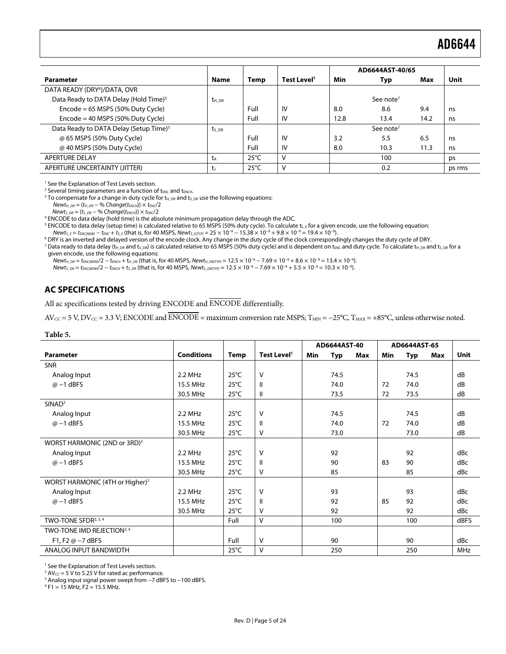<span id="page-4-1"></span><span id="page-4-0"></span>

|                                                    |                   |                |                         |      | AD6644AST-40/65       |      |        |
|----------------------------------------------------|-------------------|----------------|-------------------------|------|-----------------------|------|--------|
| <b>Parameter</b>                                   | <b>Name</b>       | Temp           | Test Level <sup>1</sup> | Min  | Typ                   | Max  | Unit   |
| DATA READY (DRY <sup>6</sup> )/DATA, OVR           |                   |                |                         |      |                       |      |        |
| Data Ready to DATA Delay (Hold Time) <sup>3</sup>  | $t_{H,DR}$        |                |                         |      | See note <sup>7</sup> |      |        |
| $Encode = 65 MSPS (50% Duty Cycle)$                |                   | Full           | IV                      | 8.0  | 8.6                   | 9.4  | ns     |
| $\text{Encode} = 40 \text{ MSPS}$ (50% Duty Cycle) |                   | Full           | IV                      | 12.8 | 13.4                  | 14.2 | ns     |
| Data Ready to DATA Delay (Setup Time) <sup>3</sup> | t <sub>s DR</sub> |                |                         |      | See note <sup>7</sup> |      |        |
| @ 65 MSPS (50% Duty Cycle)                         |                   | Full           | IV                      | 3.2  | 5.5                   | 6.5  | ns     |
| @ 40 MSPS (50% Duty Cycle)                         |                   | Full           | IV                      | 8.0  | 10.3                  | 11.3 | ns     |
| <b>APERTURE DELAY</b>                              | ta                | $25^{\circ}$ C | v                       |      | 100                   |      | ps     |
| APERTURE UNCERTAINTY (JITTER)                      |                   | $25^{\circ}$ C | v                       |      | 0.2                   |      | ps rms |

<sup>1</sup> See th[e Explanation of Test Levels s](#page-6-1)ection.

<sup>2</sup> Several timing parameters are a function of t<sub>ENC</sub> and t<sub>ENCH</sub>.<br><sup>3</sup> To compensate for a change in duty cycle for type and t<sub>e</sub>

<sup>3</sup> To compensate for a change in duty cycle for  $t_{H\_DR}$  and  $t_{S\_DR}$  use the following equations:

 $Newton_{H\_DR} = (t_{H\_DR} - % Change(t_{ENCH})) \times t_{ENC}/2$ 

 $News_{\text{DR}} = (t_{S\_DR} - % \text{Change}(t_{\text{ENC}})) \times t_{\text{ENC}}/2$ 

ENCODE to data delay (hold time) is the absolute minimum propagation delay through the ADC.

 $^5$  ENCODE to data delay (setup time) is calculated relative to 65 MSPS (50% duty cycle). To calculate ts\_E for a given encode, use the following equation:

Newt<sub>S\_E</sub> = t<sub>ENC(NEW)</sub> − t<sub>ENC</sub> + t<sub>S\_E</sub> (that is, for 40 MSPS, Newt<sub>S\_E(TYP</sub>) = 25 × 10<sup>-9</sup> − 15.38 × 10<sup>-9</sup> + 9.8 × 10<sup>-9</sup> = 19.4 × 10<sup>-9</sup>).

<sup>6</sup> DRY is an inverted and delayed version of the encode clock. Any change in the duty cycle of the clock correspondingly changes the duty cycle of DRY.

<sup>7</sup> Data ready to data delay (t<sub>H\_DR</sub> and t<sub>S\_DR</sub>) is calculated relative to 65 MSPS (50% duty cycle) and is dependent on t<sub>ENC</sub> and duty cycle. To calculate t<sub>H\_DR</sub> and t<sub>S\_DR</sub> for a given encode, use the following equations:

 $Newton_{H,DR} = t_{ENC/NEW}/2 - t_{ENCH} + t_{H,DR}$  (that is, for 40 MSPS,  $Newt_{H,DR(TYP)} = 12.5 \times 10^{-9} - 7.69 \times 10^{-9} + 8.6 \times 10^{-9} = 13.4 \times 10^{-9}$ ).

 $Newt_{S\_DR} = t_{ENC/NEW}/2 - t_{ENCH} + t_{S\_DR}$  (that is, for 40 MSPS, Newt<sub>S\_DR(TYP)</sub> = 12.5 × 10<sup>-9</sup> – 7.69 × 10<sup>-9</sup> + 5.5 × 10<sup>-9</sup> = 10.3 × 10<sup>-9</sup>).

#### **AC SPECIFICATIONS**

All ac specifications tested by driving ENCODE and ENCODE differentially.

 $AV_{CC} = 5$  V,  $DV_{CC} = 3.3$  V; ENCODE and  $\overline{ENCODE} =$  maximum conversion rate MSPS;  $T_{MIN} = -25^{\circ}C$ ,  $T_{MAX} = +85^{\circ}C$ , unless otherwise noted.

#### **Table 5.**

|                                             |                   |                |                         |            | AD6644AST-40 |     |            | AD6644AST-65 |     |            |
|---------------------------------------------|-------------------|----------------|-------------------------|------------|--------------|-----|------------|--------------|-----|------------|
| <b>Parameter</b>                            | <b>Conditions</b> | Temp           | Test Level <sup>1</sup> | <b>Min</b> | Typ          | Max | <b>Min</b> | Typ          | Max | Unit       |
| <b>SNR</b>                                  |                   |                |                         |            |              |     |            |              |     |            |
| Analog Input                                | $2.2$ MHz         | $25^{\circ}$ C | $\vee$                  |            | 74.5         |     |            | 74.5         |     | dB         |
| $@ -1$ dBFS                                 | 15.5 MHz          | $25^{\circ}$ C | H                       |            | 74.0         |     | 72         | 74.0         |     | dB         |
|                                             | 30.5 MHz          | $25^{\circ}$ C | $\mathbf{II}$           |            | 73.5         |     | 72         | 73.5         |     | dB         |
| SINAD <sup>2</sup>                          |                   |                |                         |            |              |     |            |              |     |            |
| Analog Input                                | 2.2 MHz           | $25^{\circ}$ C | $\vee$                  |            | 74.5         |     |            | 74.5         |     | dB         |
| $@ -1$ dBFS                                 | 15.5 MHz          | $25^{\circ}$ C | $\mathbf{II}$           |            | 74.0         |     | 72         | 74.0         |     | dB         |
|                                             | 30.5 MHz          | $25^{\circ}$ C | V                       |            | 73.0         |     |            | 73.0         |     | dB         |
| WORST HARMONIC (2ND or 3RD) <sup>2</sup>    |                   |                |                         |            |              |     |            |              |     |            |
| Analog Input                                | $2.2$ MHz         | $25^{\circ}$ C | $\vee$                  |            | 92           |     |            | 92           |     | dBc        |
| $@ -1$ dBFS                                 | 15.5 MHz          | $25^{\circ}$ C | $\mathbf{II}$           |            | 90           |     | 83         | 90           |     | dBc        |
|                                             | 30.5 MHz          | $25^{\circ}$ C | v                       |            | 85           |     |            | 85           |     | dBc        |
| WORST HARMONIC (4TH or Higher) <sup>2</sup> |                   |                |                         |            |              |     |            |              |     |            |
| Analog Input                                | 2.2 MHz           | $25^{\circ}$ C | $\vee$                  |            | 93           |     |            | 93           |     | dBc        |
| $@ -1$ dBFS                                 | 15.5 MHz          | $25^{\circ}$ C | $\mathbf{I}$            |            | 92           |     | 85         | 92           |     | dBc        |
|                                             | 30.5 MHz          | $25^{\circ}$ C | v                       |            | 92           |     |            | 92           |     | dBc        |
| TWO-TONE SFDR <sup>2, 3, 4</sup>            |                   | Full           | v                       |            | 100          |     |            | 100          |     | dBFS       |
| TWO-TONE IMD REJECTION <sup>2, 4</sup>      |                   |                |                         |            |              |     |            |              |     |            |
| F1, F2 $@ - 7$ dBFS                         |                   | Full           | $\vee$                  |            | 90           |     |            | 90           |     | dBc        |
| ANALOG INPUT BANDWIDTH                      |                   | $25^{\circ}$ C | v                       |            | 250          |     |            | 250          |     | <b>MHz</b> |

<sup>1</sup> See th[e Explanation of Test Levels s](#page-6-1)ection.

 $^2$  AV<sub>CC</sub> = 5 V to 5.25 V for rated ac performance.<br><sup>3</sup> Analog input signal power swept from -7 dBF <sup>3</sup> Analog input signal power swept from −7 dBFS to −100 dBFS.

 $4$  F1 = 15 MHz, F2 = 15.5 MHz.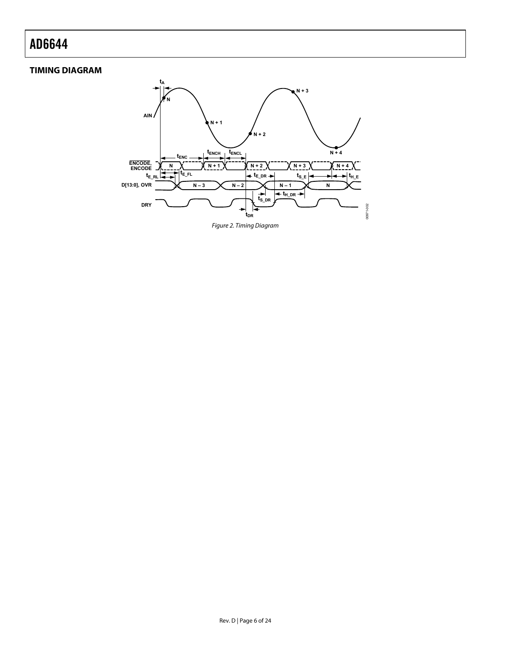#### <span id="page-5-0"></span>**TIMING DIAGRAM**

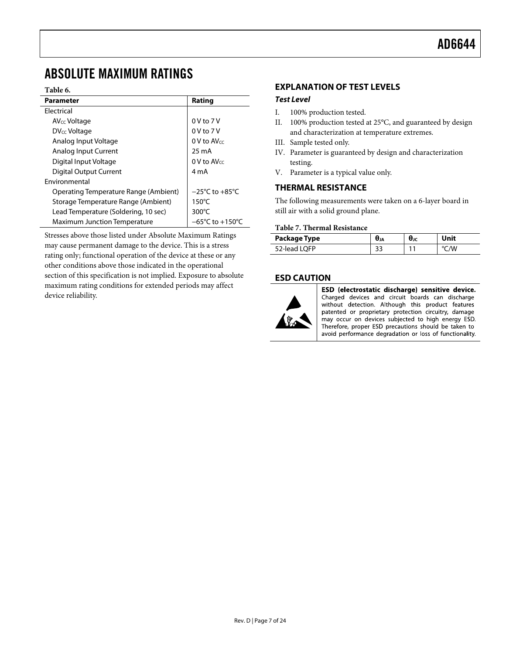### <span id="page-6-1"></span><span id="page-6-0"></span>ABSOLUTE MAXIMUM RATINGS

#### **Table 6.**

| <b>Parameter</b>                      | Rating                              |
|---------------------------------------|-------------------------------------|
| <b>Flectrical</b>                     |                                     |
| AV <sub>CC</sub> Voltage              | $0V$ to $7V$                        |
| DV <sub>CC</sub> Voltage              | $0V$ to $7V$                        |
| Analog Input Voltage                  | $0$ V to AV $cc$                    |
| Analog Input Current                  | 25 mA                               |
| Digital Input Voltage                 | $0V$ to AV $cc$                     |
| Digital Output Current                | 4 m A                               |
| <b>Environmental</b>                  |                                     |
| Operating Temperature Range (Ambient) | $-25^{\circ}$ C to $+85^{\circ}$ C  |
| Storage Temperature Range (Ambient)   | $150^{\circ}$ C                     |
| Lead Temperature (Soldering, 10 sec)  | $300^{\circ}$ C                     |
| <b>Maximum Junction Temperature</b>   | $-65^{\circ}$ C to $+150^{\circ}$ C |

Stresses above those listed under Absolute Maximum Ratings may cause permanent damage to the device. This is a stress rating only; functional operation of the device at these or any other conditions above those indicated in the operational section of this specification is not implied. Exposure to absolute maximum rating conditions for extended periods may affect device reliability.

#### **EXPLANATION OF TEST LEVELS**

#### **Test Level**

- I. 100% production tested.
- II. 100% production tested at 25°C, and guaranteed by design and characterization at temperature extremes.
- III. Sample tested only.
- IV. Parameter is guaranteed by design and characterization testing.
- V. Parameter is a typical value only.

#### **THERMAL RESISTANCE**

The following measurements were taken on a 6-layer board in still air with a solid ground plane.

#### **Table 7. Thermal Resistance**

| Package Type | <b>U</b> JA | UJC | Unit |
|--------------|-------------|-----|------|
| 52-lead LQFP | ت ب         |     |      |

#### **ESD CAUTION**



ESD (electrostatic discharge) sensitive device. Charged devices and circuit boards can discharge without detection. Although this product features patented or proprietary protection circuitry, damage may occur on devices subjected to high energy ESD. Therefore, proper ESD precautions should be taken to avoid performance degradation or loss of functionality.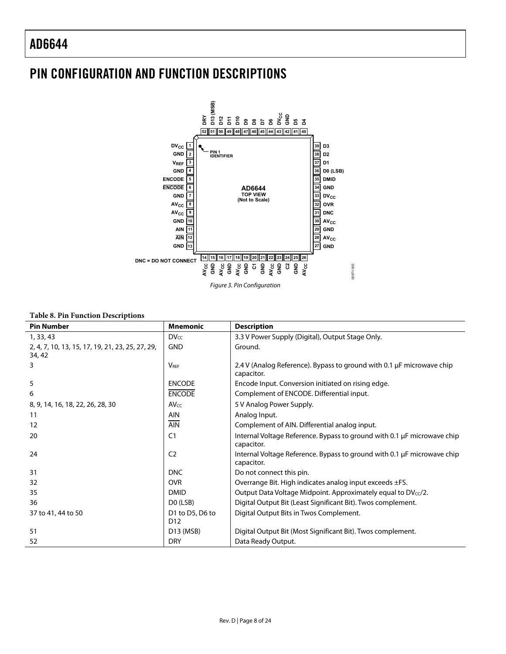### <span id="page-7-0"></span>PIN CONFIGURATION AND FUNCTION DESCRIPTIONS



Figure 3. Pin Configuration

#### **Table 8. Pin Function Descriptions**

| <b>Pin Number</b>                                          | <b>Mnemonic</b>                    | <b>Description</b>                                                                    |
|------------------------------------------------------------|------------------------------------|---------------------------------------------------------------------------------------|
| 1, 33, 43                                                  | DVec                               | 3.3 V Power Supply (Digital), Output Stage Only.                                      |
| 2, 4, 7, 10, 13, 15, 17, 19, 21, 23, 25, 27, 29,<br>34, 42 | <b>GND</b>                         | Ground.                                                                               |
| 3                                                          | <b>VRFF</b>                        | 2.4 V (Analog Reference). Bypass to ground with 0.1 µF microwave chip<br>capacitor.   |
| 5                                                          | <b>ENCODE</b>                      | Encode Input. Conversion initiated on rising edge.                                    |
| 6                                                          | <b>ENCODE</b>                      | Complement of ENCODE. Differential input.                                             |
| 8, 9, 14, 16, 18, 22, 26, 28, 30                           | $AV_{CC}$                          | 5 V Analog Power Supply.                                                              |
| 11                                                         | <b>AIN</b>                         | Analog Input.                                                                         |
| 12                                                         | <b>AIN</b>                         | Complement of AIN. Differential analog input.                                         |
| 20                                                         | C <sub>1</sub>                     | Internal Voltage Reference. Bypass to ground with 0.1 µF microwave chip<br>capacitor. |
| 24                                                         | C <sub>2</sub>                     | Internal Voltage Reference. Bypass to ground with 0.1 µF microwave chip<br>capacitor. |
| 31                                                         | <b>DNC</b>                         | Do not connect this pin.                                                              |
| 32                                                         | <b>OVR</b>                         | Overrange Bit. High indicates analog input exceeds ±FS.                               |
| 35                                                         | <b>DMID</b>                        | Output Data Voltage Midpoint. Approximately equal to $DV_{cc}/2$ .                    |
| 36                                                         | DO (LSB)                           | Digital Output Bit (Least Significant Bit). Twos complement.                          |
| 37 to 41, 44 to 50                                         | D1 to D5, D6 to<br>D <sub>12</sub> | Digital Output Bits in Twos Complement.                                               |
| 51                                                         | D13 (MSB)                          | Digital Output Bit (Most Significant Bit). Twos complement.                           |
| 52                                                         | <b>DRY</b>                         | Data Ready Output.                                                                    |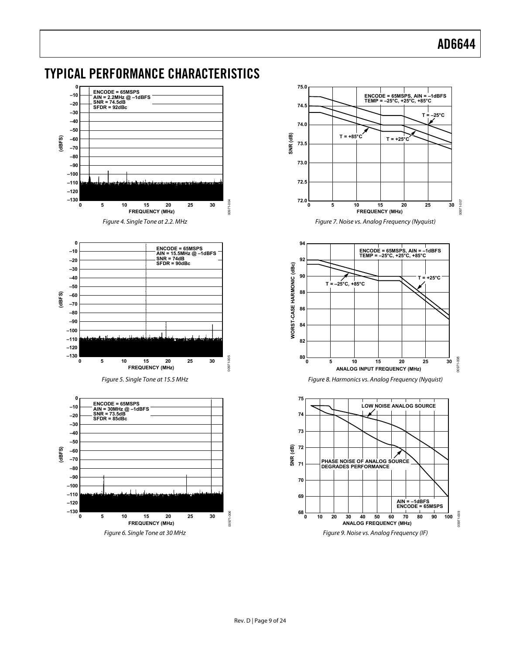

### <span id="page-8-0"></span>TYPICAL PERFORMANCE CHARACTERISTICS

Figure 6. Single Tone at 30 MHz

Rev. D | Page 9 of 24

Figure 9. Noise vs. Analog Frequency (IF)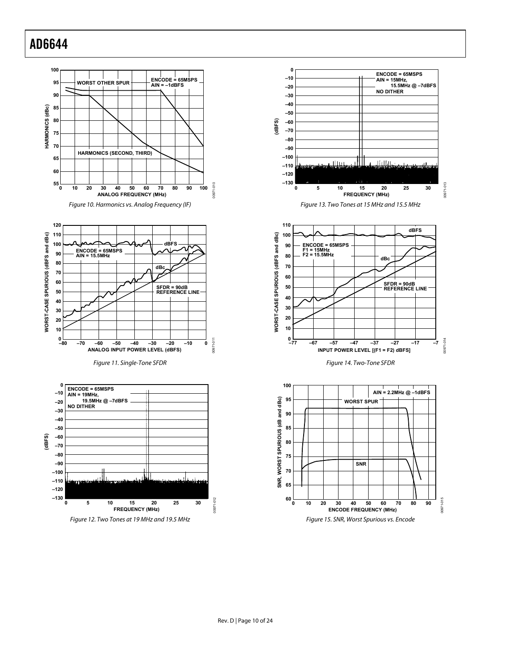



00971-013

00971-013

00971-014

00971

 $-014$ 

00971-015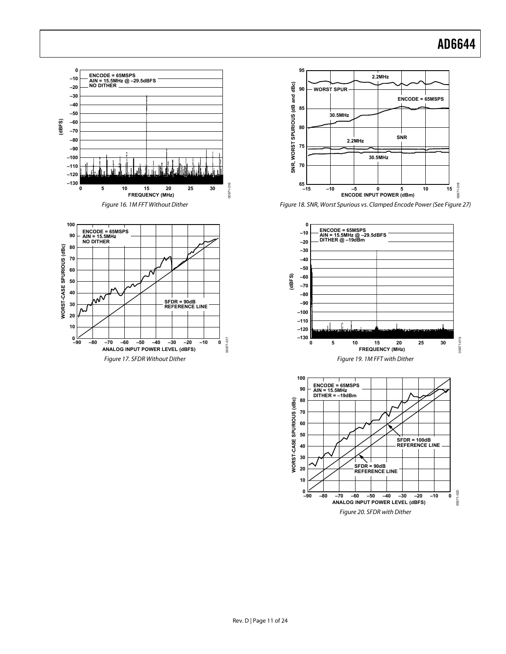<span id="page-10-0"></span>

Figure 20. SFDR with Dither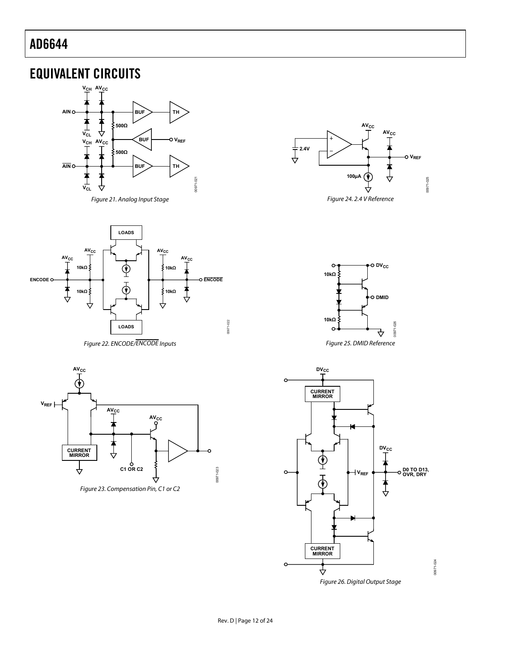### <span id="page-11-0"></span>EQUIVALENT CIRCUITS





<span id="page-11-1"></span>

Figure 22. ENCODE/ENCODE Inputs





Figure 25. DMID Reference

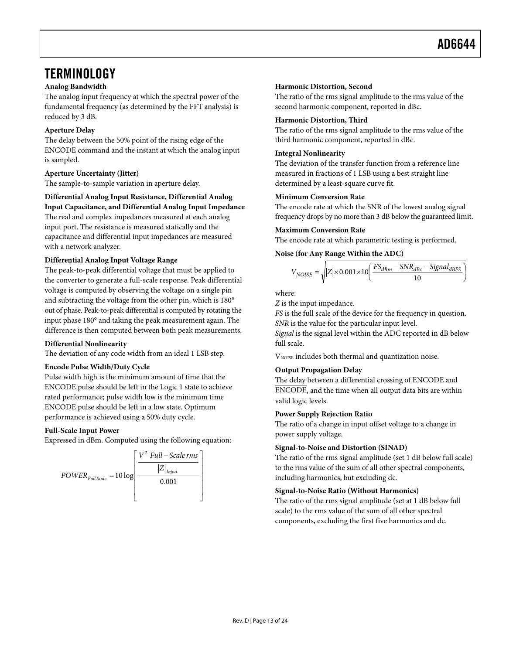### <span id="page-12-0"></span>**TERMINOLOGY**

#### **Analog Bandwidth**

The analog input frequency at which the spectral power of the fundamental frequency (as determined by the FFT analysis) is reduced by 3 dB.

#### **Aperture Delay**

The delay between the 50% point of the rising edge of the ENCODE command and the instant at which the analog input is sampled.

#### **Aperture Uncertainty (Jitter)**

The sample-to-sample variation in aperture delay.

### **Differential Analog Input Resistance, Differential Analog**

**Input Capacitance, and Differential Analog Input Impedance**  The real and complex impedances measured at each analog input port. The resistance is measured statically and the capacitance and differential input impedances are measured with a network analyzer.

#### **Differential Analog Input Voltage Range**

The peak-to-peak differential voltage that must be applied to the converter to generate a full-scale response. Peak differential voltage is computed by observing the voltage on a single pin and subtracting the voltage from the other pin, which is 180° out of phase. Peak-to-peak differential is computed by rotating the input phase 180° and taking the peak measurement again. The difference is then computed between both peak measurements.

#### **Differential Nonlinearity**

The deviation of any code width from an ideal 1 LSB step.

#### **Encode Pulse Width/Duty Cycle**

Pulse width high is the minimum amount of time that the ENCODE pulse should be left in the Logic 1 state to achieve rated performance; pulse width low is the minimum time ENCODE pulse should be left in a low state. Optimum performance is achieved using a 50% duty cycle.

#### **Full-Scale Input Power**

Expressed in dBm. Computed using the following equation:



#### **Harmonic Distortion, Second**

The ratio of the rms signal amplitude to the rms value of the second harmonic component, reported in dBc.

#### **Harmonic Distortion, Third**

The ratio of the rms signal amplitude to the rms value of the third harmonic component, reported in dBc.

#### **Integral Nonlinearity**

The deviation of the transfer function from a reference line measured in fractions of 1 LSB using a best straight line determined by a least-square curve fit.

#### **Minimum Conversion Rate**

The encode rate at which the SNR of the lowest analog signal frequency drops by no more than 3 dB below the guaranteed limit.

#### **Maximum Conversion Rate**

The encode rate at which parametric testing is performed.

#### **Noise (for Any Range Within the ADC)**

$$
V_{NOISE} = \sqrt{|Z| \times 0.001 \times 10 \left(\frac{FS_{dBm} - SNR_{dBc} - Signal_{dBFS}}{10}\right)}
$$

where:

*Z* is the input impedance.

*FS* is the full scale of the device for the frequency in question. *SNR* is the value for the particular input level.

*Signal* is the signal level within the ADC reported in dB below full scale.

V<sub>NOISE</sub> includes both thermal and quantization noise.

#### **Output Propagation Delay**

The delay between a differential crossing of ENCODE and ENCODE, and the time when all output data bits are within valid logic levels.

#### **Power Supply Rejection Ratio**

The ratio of a change in input offset voltage to a change in power supply voltage.

#### **Signal-to-Noise and Distortion (SINAD)**

The ratio of the rms signal amplitude (set 1 dB below full scale) to the rms value of the sum of all other spectral components, including harmonics, but excluding dc.

#### **Signal-to-Noise Ratio (Without Harmonics)**

The ratio of the rms signal amplitude (set at 1 dB below full scale) to the rms value of the sum of all other spectral components, excluding the first five harmonics and dc.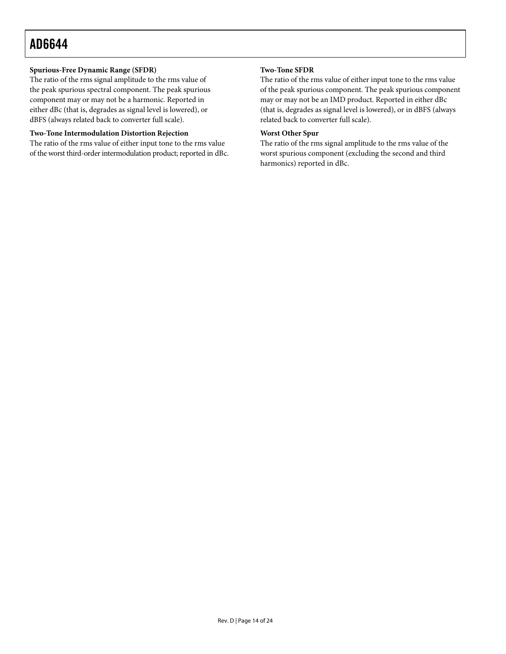#### **Spurious-Free Dynamic Range (SFDR)**

The ratio of the rms signal amplitude to the rms value of the peak spurious spectral component. The peak spurious component may or may not be a harmonic. Reported in either dBc (that is, degrades as signal level is lowered), or dBFS (always related back to converter full scale).

#### **Two-Tone Intermodulation Distortion Rejection**

The ratio of the rms value of either input tone to the rms value of the worst third-order intermodulation product; reported in dBc.

#### **Two-Tone SFDR**

The ratio of the rms value of either input tone to the rms value of the peak spurious component. The peak spurious component may or may not be an IMD product. Reported in either dBc (that is, degrades as signal level is lowered), or in dBFS (always related back to converter full scale).

#### **Worst Other Spur**

The ratio of the rms signal amplitude to the rms value of the worst spurious component (excluding the second and third harmonics) reported in dBc.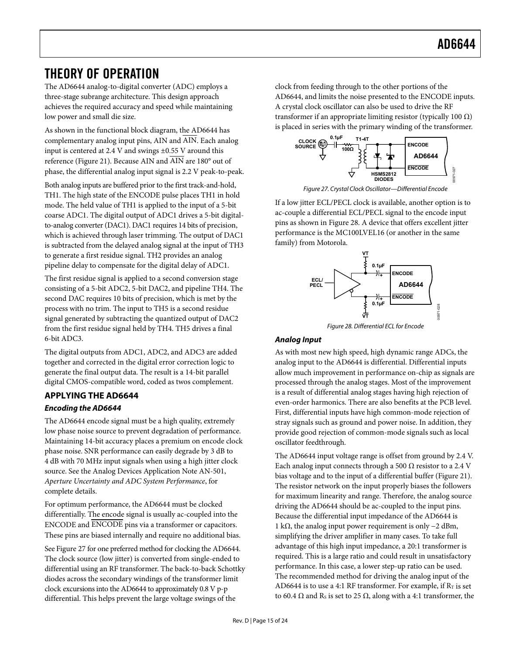### <span id="page-14-1"></span><span id="page-14-0"></span>THEORY OF OPERATION

The AD6644 analog-to-digital converter (ADC) employs a three-stage subrange architecture. This design approach achieves the required accuracy and speed while maintaining low power and small die size.

As shown in the functional block diagram, the AD6644 has complementary analog input pins, AIN and AIN. Each analog input is centered at 2.4 V and swings ±0.55 V around this reference [\(Figure 21\)](#page-11-1). Because AIN and AIN are 180° out of phase, the differential analog input signal is 2.2 V peak-to-peak.

<span id="page-14-2"></span>Both analog inputs are buffered prior to the first track-and-hold, TH1. The high state of the ENCODE pulse places TH1 in hold mode. The held value of TH1 is applied to the input of a 5-bit coarse ADC1. The digital output of ADC1 drives a 5-bit digitalto-analog converter (DAC1). DAC1 requires 14 bits of precision, which is achieved through laser trimming. The output of DAC1 is subtracted from the delayed analog signal at the input of TH3 to generate a first residue signal. TH2 provides an analog pipeline delay to compensate for the digital delay of ADC1.

The first residue signal is applied to a second conversion stage consisting of a 5-bit ADC2, 5-bit DAC2, and pipeline TH4. The second DAC requires 10 bits of precision, which is met by the process with no trim. The input to TH5 is a second residue signal generated by subtracting the quantized output of DAC2 from the first residue signal held by TH4. TH5 drives a final 6-bit ADC3.

<span id="page-14-3"></span>The digital outputs from ADC1, ADC2, and ADC3 are added together and corrected in the digital error correction logic to generate the final output data. The result is a 14-bit parallel digital CMOS-compatible word, coded as twos complement.

#### **APPLYING THE AD6644 Encoding the AD6644**

The AD6644 encode signal must be a high quality, extremely low phase noise source to prevent degradation of performance. Maintaining 14-bit accuracy places a premium on encode clock phase noise. SNR performance can easily degrade by 3 dB to 4 dB with 70 MHz input signals when using a high jitter clock source. See the Analog Devices Application Note AN-501, *Aperture Uncertainty and ADC System Performance*, for complete details.

For optimum performance, the AD6644 must be clocked differentially. The encode signal is usually ac-coupled into the ENCODE and ENCODE pins via a transformer or capacitors. These pins are biased internally and require no additional bias.

See [Figure 27](#page-14-2) for one preferred method for clocking the AD6644. The clock source (low jitter) is converted from single-ended to differential using an RF transformer. The back-to-back Schottky diodes across the secondary windings of the transformer limit clock excursions into the AD6644 to approximately 0.8 V p-p differential. This helps prevent the large voltage swings of the

clock from feeding through to the other portions of the AD6644, and limits the noise presented to the ENCODE inputs. A crystal clock oscillator can also be used to drive the RF transformer if an appropriate limiting resistor (typically 100 Ω) is placed in series with the primary winding of the transformer.



Figure 27. Crystal Clock Oscillator—Differential Encode

If a low jitter ECL/PECL clock is available, another option is to ac-couple a differential ECL/PECL signal to the encode input pins as shown in [Figure 28](#page-14-3). A device that offers excellent jitter performance is the MC100LVEL16 (or another in the same family) from Motorola.



Figure 28. Differential ECL for Encode

#### **Analog Input**

As with most new high speed, high dynamic range ADCs, the analog input to the AD6644 is differential. Differential inputs allow much improvement in performance on-chip as signals are processed through the analog stages. Most of the improvement is a result of differential analog stages having high rejection of even-order harmonics. There are also benefits at the PCB level. First, differential inputs have high common-mode rejection of stray signals such as ground and power noise. In addition, they provide good rejection of common-mode signals such as local oscillator feedthrough.

The AD6644 input voltage range is offset from ground by 2.4 V. Each analog input connects through a 500  $\Omega$  resistor to a 2.4 V bias voltage and to the input of a differential buffer [\(Figure 21\)](#page-11-1). The resistor network on the input properly biases the followers for maximum linearity and range. Therefore, the analog source driving the AD6644 should be ac-coupled to the input pins. Because the differential input impedance of the AD6644 is 1 kΩ, the analog input power requirement is only −2 dBm, simplifying the driver amplifier in many cases. To take full advantage of this high input impedance, a 20:1 transformer is required. This is a large ratio and could result in unsatisfactory performance. In this case, a lower step-up ratio can be used. The recommended method for driving the analog input of the AD6644 is to use a 4:1 RF transformer. For example, if  $R_T$  is set to 60.4  $\Omega$  and R<sub>s</sub> is set to 25  $\Omega$ , along with a 4:1 transformer, the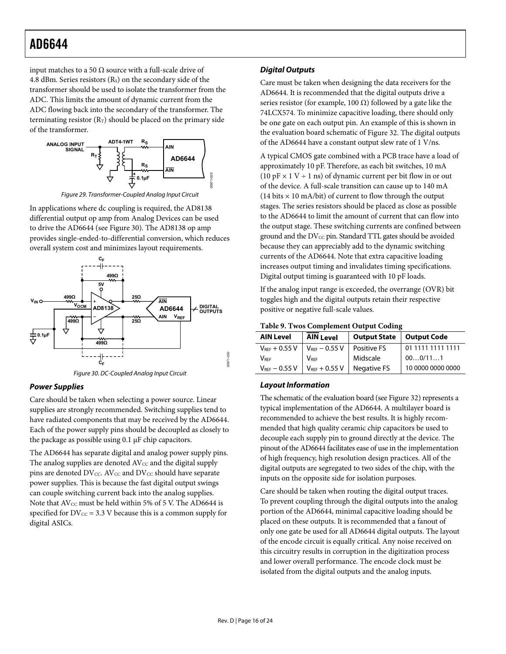input matches to a 50  $Ω$  source with a full-scale drive of 4.8 dBm. Series resistors  $(R<sub>s</sub>)$  on the secondary side of the transformer should be used to isolate the transformer from the ADC. This limits the amount of dynamic current from the ADC flowing back into the secondary of the transformer. The terminating resistor  $(R_T)$  should be placed on the primary side of the transformer.



Figure 29. Transformer-Coupled Analog Input Circuit

In applications where dc coupling is required, the AD8138 differential output op amp from Analog Devices can be used to drive the AD6644 (see [Figure 30](#page-15-0)). The AD8138 op amp provides single-ended-to-differential conversion, which reduces overall system cost and minimizes layout requirements.



Figure 30. DC-Coupled Analog Input Circuit

#### <span id="page-15-0"></span>**Power Supplies**

Care should be taken when selecting a power source. Linear supplies are strongly recommended. Switching supplies tend to have radiated components that may be received by the AD6644. Each of the power supply pins should be decoupled as closely to the package as possible using 0.1 μF chip capacitors.

The AD6644 has separate digital and analog power supply pins. The analog supplies are denoted  $AV_{CC}$  and the digital supply pins are denoted DV<sub>CC</sub>. AV<sub>CC</sub> and DV<sub>CC</sub> should have separate power supplies. This is because the fast digital output swings can couple switching current back into the analog supplies. Note that  $AV_{CC}$  must be held within 5% of 5 V. The AD6644 is specified for  $DV_{CC} = 3.3$  V because this is a common supply for digital ASICs.

#### **Digital Outputs**

Care must be taken when designing the data receivers for the AD6644. It is recommended that the digital outputs drive a series resistor (for example, 100  $\Omega$ ) followed by a gate like the 74LCX574. To minimize capacitive loading, there should only be one gate on each output pin. An example of this is shown in the evaluation board schematic of [Figure 32](#page-18-0). The digital outputs of the AD6644 have a constant output slew rate of 1 V/ns.

A typical CMOS gate combined with a PCB trace have a load of approximately 10 pF. Therefore, as each bit switches, 10 mA (10 pF  $\times$  1 V ÷ 1 ns) of dynamic current per bit flow in or out of the device. A full-scale transition can cause up to 140 mA (14 bits  $\times$  10 mA/bit) of current to flow through the output stages. The series resistors should be placed as close as possible to the AD6644 to limit the amount of current that can flow into the output stage. These switching currents are confined between ground and the  $DV_{CC}$  pin. Standard TTL gates should be avoided because they can appreciably add to the dynamic switching currents of the AD6644. Note that extra capacitive loading increases output timing and invalidates timing specifications. Digital output timing is guaranteed with 10 pF loads.

If the analog input range is exceeded, the overrange (OVR) bit toggles high and the digital outputs retain their respective positive or negative full-scale values.

**Table 9. Twos Complement Output Coding** 

| <b>AIN Level</b>   | <b>AIN Level</b>   | <b>Output State</b> | Output Code       |
|--------------------|--------------------|---------------------|-------------------|
| $V_{REF} + 0.55 V$ | $V_{REF}$ – 0.55 V | <b>Positive FS</b>  | 01 1111 1111 1111 |
| <b>VREF</b>        | <b>VRFF</b>        | Midscale            | 000/111           |
| $V_{REF}$ - 0.55 V | $V_{REF}$ + 0.55 V | <b>Negative FS</b>  | 10 0000 0000 0000 |

#### **Layout Information**

The schematic of the evaluation board (see [Figure 32](#page-18-0)) represents a typical implementation of the AD6644. A multilayer board is recommended to achieve the best results. It is highly recommended that high quality ceramic chip capacitors be used to decouple each supply pin to ground directly at the device. The pinout of the AD6644 facilitates ease of use in the implementation of high frequency, high resolution design practices. All of the digital outputs are segregated to two sides of the chip, with the inputs on the opposite side for isolation purposes.

Care should be taken when routing the digital output traces. To prevent coupling through the digital outputs into the analog portion of the AD6644, minimal capacitive loading should be placed on these outputs. It is recommended that a fanout of only one gate be used for all AD6644 digital outputs. The layout of the encode circuit is equally critical. Any noise received on this circuitry results in corruption in the digitization process and lower overall performance. The encode clock must be isolated from the digital outputs and the analog inputs.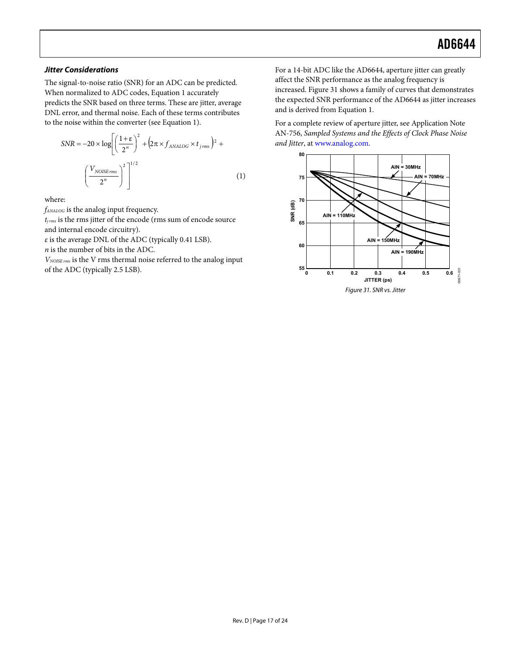#### **Jitter Considerations**

The signal-to-noise ratio (SNR) for an ADC can be predicted. When normalized to ADC codes, Equation 1 accurately predicts the SNR based on three terms. These are jitter, average DNL error, and thermal noise. Each of these terms contributes to the noise within the converter (see Equation 1).

$$
SNR = -20 \times \log \left[ \left( \frac{1+\epsilon}{2^n} \right)^2 + \left( 2\pi \times f_{ANALOG} \times t_{jrms} \right)^2 + \left( \frac{V_{NOISErms}}{2^n} \right)^2 \right]^{1/2}
$$
\n(1)

where:

*fANALOG* is the analog input frequency.

*tj rms* is the rms jitter of the encode (rms sum of encode source and internal encode circuitry).

*ε* is the average DNL of the ADC (typically 0.41 LSB).

*n* is the number of bits in the ADC.

<span id="page-16-0"></span>*VNOISE rms* is the V rms thermal noise referred to the analog input of the ADC (typically 2.5 LSB).

For a 14-bit ADC like the AD6644, aperture jitter can greatly affect the SNR performance as the analog frequency is increased. [Figure 31](#page-16-0) shows a family of curves that demonstrates the expected SNR performance of the AD6644 as jitter increases and is derived from Equation 1.

For a complete review of aperture jitter, see Application Note AN-756, *Sampled Systems and the Effects of Clock Phase Noise and Jitter*, at [www.analog.com](http://www.analog.com/).

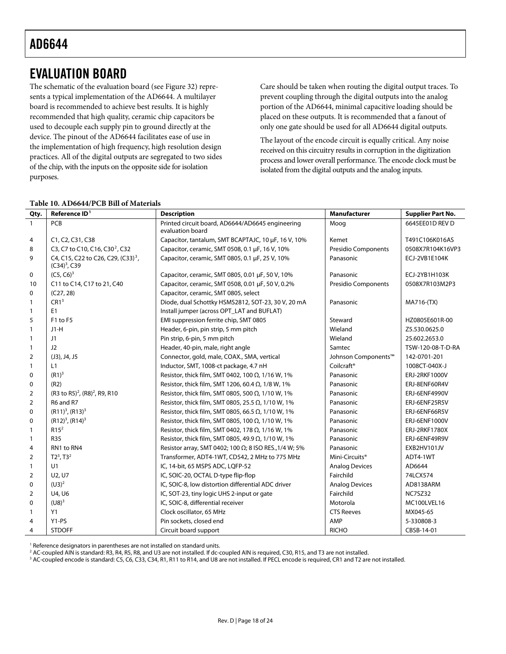### <span id="page-17-0"></span>EVALUATION BOARD

The schematic of the evaluation board (see [Figure 32\)](#page-18-0) represents a typical implementation of the AD6644. A multilayer board is recommended to achieve best results. It is highly recommended that high quality, ceramic chip capacitors be used to decouple each supply pin to ground directly at the device. The pinout of the AD6644 facilitates ease of use in the implementation of high frequency, high resolution design practices. All of the digital outputs are segregated to two sides of the chip, with the inputs on the opposite side for isolation purposes.

Care should be taken when routing the digital output traces. To prevent coupling through the digital outputs into the analog portion of the AD6644, minimal capacitive loading should be placed on these outputs. It is recommended that a fanout of only one gate should be used for all AD6644 digital outputs.

The layout of the encode circuit is equally critical. Any noise received on this circuitry results in corruption in the digitization process and lower overall performance. The encode clock must be isolated from the digital outputs and the analog inputs.

| Qty.           | Reference ID <sup>1</sup>                                         | <b>Description</b>                                                   | <b>Manufacturer</b>        | <b>Supplier Part No.</b> |
|----------------|-------------------------------------------------------------------|----------------------------------------------------------------------|----------------------------|--------------------------|
| $\mathbf{1}$   | PCB                                                               | Printed circuit board, AD6644/AD6645 engineering<br>evaluation board | Moog                       | 6645EE01D REV D          |
| 4              | C1, C2, C31, C38                                                  | Capacitor, tantalum, SMT BCAPTAJC, 10 µF, 16 V, 10%                  | Kemet                      | T491C106K016AS           |
| 8              | C3, C7 to C10, C16, C30 <sup>2</sup> , C32                        | Capacitor, ceramic, SMT 0508, 0.1 µF, 16 V, 10%                      | Presidio Components        | 0508X7R104K16VP3         |
| 9              | C4, C15, C22 to C26, C29, (C33) <sup>3</sup> ,<br>$(C34)^3$ , C39 | Capacitor, ceramic, SMT 0805, 0.1 µF, 25 V, 10%                      | Panasonic                  | ECJ-2VB1E104K            |
| 0              | $(C5, C6)^3$                                                      | Capacitor, ceramic, SMT 0805, 0.01 µF, 50 V, 10%                     | Panasonic                  | ECJ-2YB1H103K            |
| 10             | C11 to C14, C17 to 21, C40                                        | Capacitor, ceramic, SMT 0508, 0.01 µF, 50 V, 0.2%                    | <b>Presidio Components</b> | 0508X7R103M2P3           |
| 0              | (C27, 28)                                                         | Capacitor, ceramic, SMT 0805, select                                 |                            |                          |
| 1              | CR1 <sup>3</sup>                                                  | Diode, dual Schottky HSMS2812, SOT-23, 30 V, 20 mA                   | Panasonic                  | MA716-(TX)               |
| 1              | E1                                                                | Install jumper (across OPT_LAT and BUFLAT)                           |                            |                          |
| 5              | F1 to F5                                                          | EMI suppression ferrite chip, SMT 0805                               | Steward                    | HZ0805E601R-00           |
| 1              | $J1-H$                                                            | Header, 6-pin, pin strip, 5 mm pitch                                 | Wieland                    | Z5.530.0625.0            |
| 1              | J1                                                                | Pin strip, 6-pin, 5 mm pitch                                         | Wieland                    | 25.602.2653.0            |
| $\mathbf{1}$   | J2                                                                | Header, 40-pin, male, right angle                                    | Samtec                     | TSW-120-08-T-D-RA        |
| 2              | $(J3)$ , J4, J5                                                   | Connector, gold, male, COAX., SMA, vertical                          | Johnson Components™        | 142-0701-201             |
| $\mathbf{1}$   | L1                                                                | Inductor, SMT, 1008-ct package, 4.7 nH                               | Coilcraft <sup>®</sup>     | 1008CT-040X-J            |
| 0              | $(R1)^3$                                                          | Resistor, thick film, SMT 0402, 100 $\Omega$ , 1/16 W, 1%            | Panasonic                  | ERJ-2RKF1000V            |
| 0              | (R2)                                                              | Resistor, thick film, SMT 1206, 60.4 $\Omega$ , 1/8 W, 1%            | Panasonic                  | ERJ-8ENF60R4V            |
| $\overline{2}$ | (R3 to R5) <sup>2</sup> , (R8) <sup>2</sup> , R9, R10             | Resistor, thick film, SMT 0805, 500 $\Omega$ , 1/10 W, 1%            | Panasonic                  | ERJ-6ENF4990V            |
| 2              | R6 and R7                                                         | Resistor, thick film, SMT 0805, 25.5 $\Omega$ , 1/10 W, 1%           | Panasonic                  | ERJ-6ENF25R5V            |
| 0              | $(R11)3$ , $(R13)3$                                               | Resistor, thick film, SMT 0805, 66.5 $\Omega$ , 1/10 W, 1%           | Panasonic                  | ERJ-6ENF66R5V            |
| 0              | $(R12)3$ , $(R14)3$                                               | Resistor, thick film, SMT 0805, 100 $\Omega$ , 1/10 W, 1%            | Panasonic                  | ERJ-6ENF1000V            |
| 1              | R15 <sup>2</sup>                                                  | Resistor, thick film, SMT 0402, 178 Ω, 1/16 W, 1%                    | Panasonic                  | ERJ-2RKF1780X            |
| $\mathbf{1}$   | <b>R35</b>                                                        | Resistor, thick film, SMT 0805, 49.9 $\Omega$ , 1/10 W, 1%           | Panasonic                  | ERJ-6ENF49R9V            |
| $\overline{4}$ | RN1 to RN4                                                        | Resistor array, SMT 0402; 100 $\Omega$ ; 8 ISO RES., 1/4 W; 5%       | Panasonic                  | EXB2HV101JV              |
| 2              | $T2^3$ , $T3^2$                                                   | Transformer, ADT4-1WT, CD542, 2 MHz to 775 MHz                       | Mini-Circuits <sup>®</sup> | ADT4-1WT                 |
| 1              | U1                                                                | IC, 14-bit, 65 MSPS ADC, LQFP-52                                     | <b>Analog Devices</b>      | AD6644                   |
| 2              | U2, U7                                                            | IC, SOIC-20, OCTAL D-type flip-flop                                  | Fairchild                  | 74LCX574                 |
| 0              | $(U3)^2$                                                          | IC, SOIC-8, low distortion differential ADC driver                   | <b>Analog Devices</b>      | AD8138ARM                |
| 2              | U4, U6                                                            | IC, SOT-23, tiny logic UHS 2-input or gate                           | Fairchild                  | NC7SZ32                  |
| 0              | $(U8)^3$                                                          | IC, SOIC-8, differential receiver                                    | Motorola                   | MC100LVEL16              |
| 1              | Y1                                                                | Clock oscillator, 65 MHz                                             | <b>CTS Reeves</b>          | MX045-65                 |
| 4              | $Y1-PS$                                                           | Pin sockets, closed end                                              | AMP                        | 5-330808-3               |
| 4              | <b>STDOFF</b>                                                     | Circuit board support                                                | <b>RICHO</b>               | CBSB-14-01               |

<sup>1</sup> Reference designators in parentheses are not installed on standard units.

<sup>2</sup> AC-coupled AIN is standard: R3, R4, R5, R8, and U3 are not installed. If dc-coupled AIN is required, C30, R15, and T3 are not installed.<br><sup>3</sup> AC-coupled encode is standard: C5, C6, C33, C34, R1, R11 to R14, and U8 are n

<sup>3</sup> AC-coupled encode is standard: C5, C6, C33, C34, R1, R11 to R14, and U8 are not installed. If PECL encode is required, CR1 and T2 are not installed.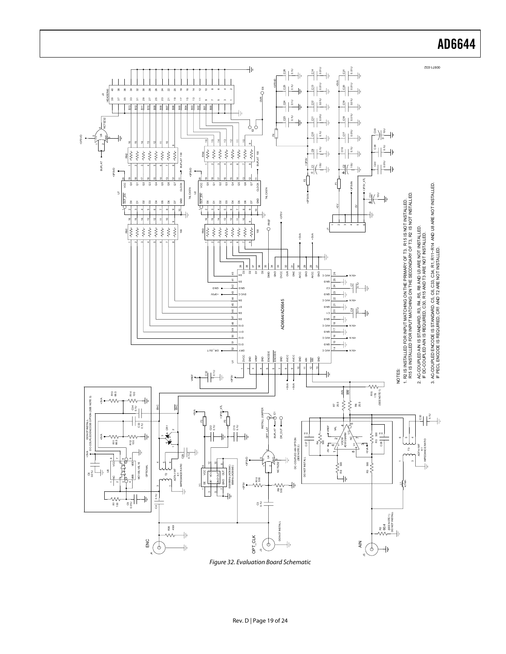

<span id="page-18-0"></span>Figure 32. Evaluation Board Schematic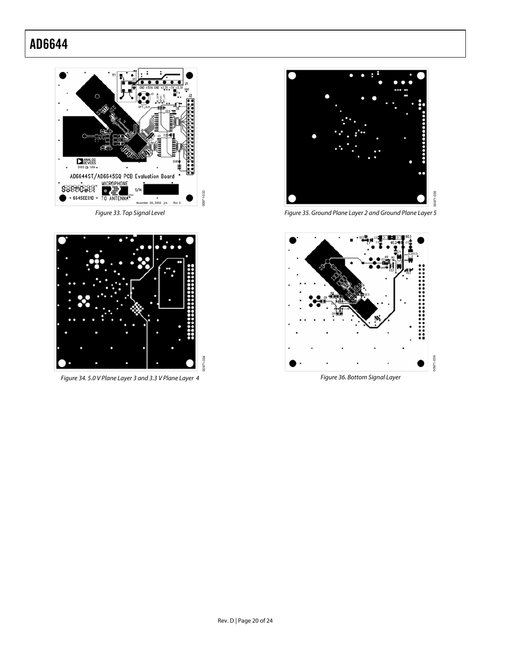

Figure 33. Top Signal Level



Figure 34. 5.0 V Plane Layer 3 and 3.3 V Plane Layer 4



Figure 35. Ground Plane Layer 2 and Ground Plane Layer 5

00971-035



Figure 36. Bottom Signal Layer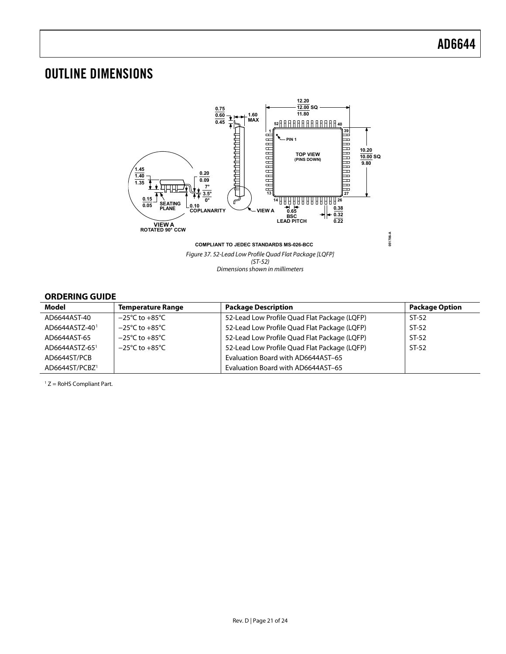## <span id="page-20-0"></span>OUTLINE DIMENSIONS



Dimensions shown in millimeters

#### **ORDERING GUIDE**

| Model                      | <b>Temperature Range</b>           | <b>Package Description</b>                   | <b>Package Option</b> |  |  |  |
|----------------------------|------------------------------------|----------------------------------------------|-----------------------|--|--|--|
| AD6644AST-40               | $-25^{\circ}$ C to $+85^{\circ}$ C | 52-Lead Low Profile Quad Flat Package (LQFP) | $ST-52$               |  |  |  |
| AD6644ASTZ-40 <sup>1</sup> | $-25^{\circ}$ C to $+85^{\circ}$ C | 52-Lead Low Profile Quad Flat Package (LQFP) | $ST-52$               |  |  |  |
| AD6644AST-65               | $-25^{\circ}$ C to $+85^{\circ}$ C | 52-Lead Low Profile Quad Flat Package (LQFP) | $ST-52$               |  |  |  |
| AD6644ASTZ-65 <sup>1</sup> | $-25^{\circ}$ C to $+85^{\circ}$ C | 52-Lead Low Profile Quad Flat Package (LQFP) | $ST-52$               |  |  |  |
| AD6644ST/PCB               |                                    | Evaluation Board with AD6644AST-65           |                       |  |  |  |
| AD6644ST/PCBZ <sup>1</sup> |                                    | Evaluation Board with AD6644AST-65           |                       |  |  |  |

 $1 Z =$  RoHS Compliant Part.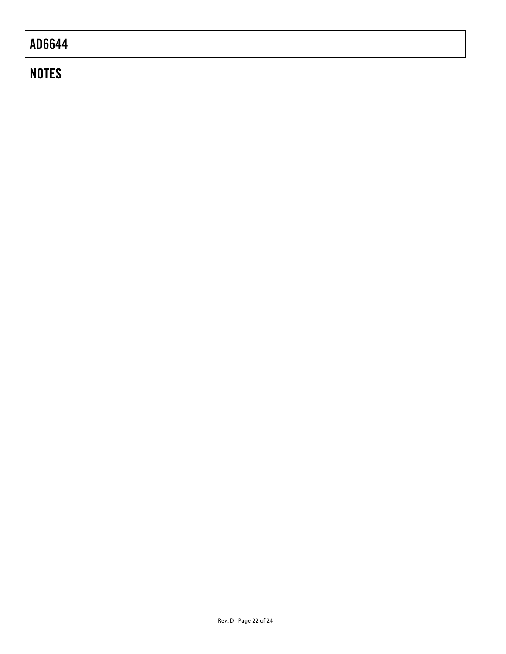## **NOTES**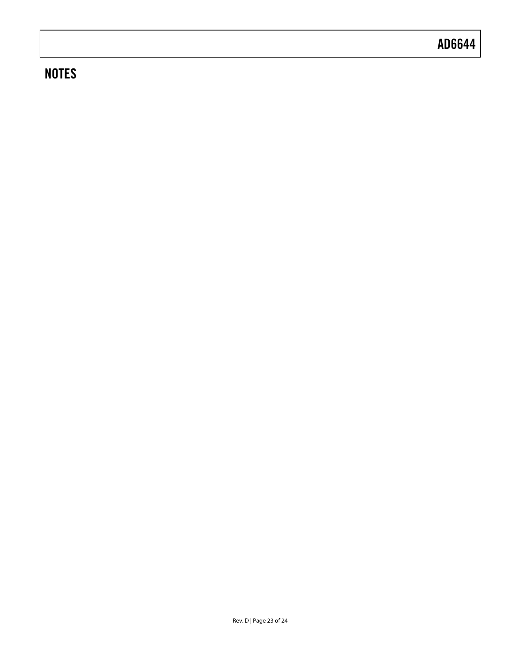## **NOTES**